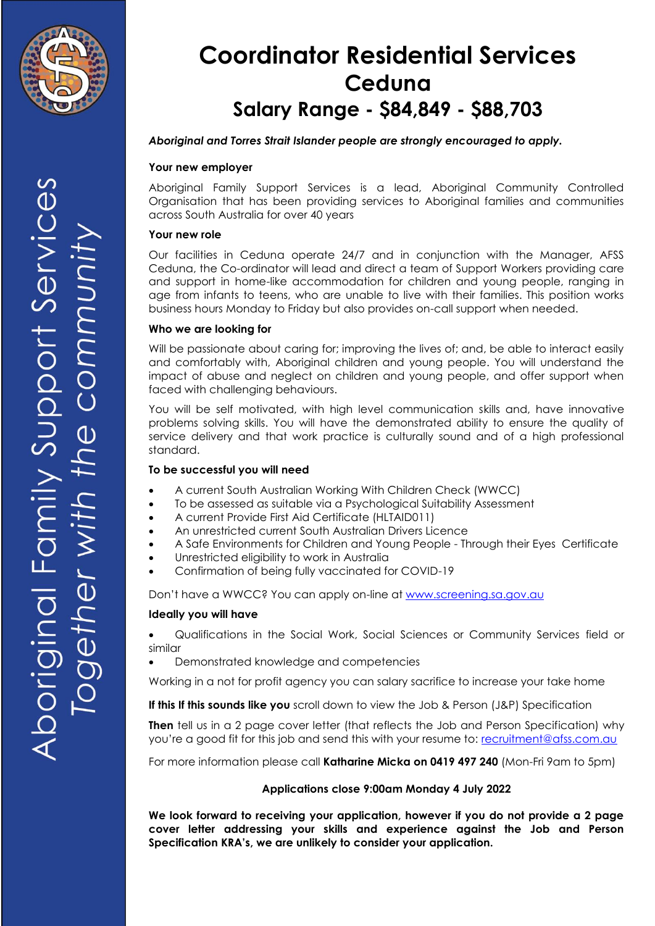

# **Coordinator Residential Services Ceduna Salary Range - \$84,849 - \$88,703**

#### *Aboriginal and Torres Strait Islander people are strongly encouraged to apply.*

#### **Your new employer**

Aboriginal Family Support Services is a lead, Aboriginal Community Controlled Organisation that has been providing services to Aboriginal families and communities across South Australia for over 40 years

#### **Your new role**

Our facilities in Ceduna operate 24/7 and in conjunction with the Manager, AFSS Ceduna, the Co-ordinator will lead and direct a team of Support Workers providing care and support in home-like accommodation for children and young people, ranging in age from infants to teens, who are unable to live with their families. This position works business hours Monday to Friday but also provides on-call support when needed.

#### **Who we are looking for**

Will be passionate about caring for; improving the lives of; and, be able to interact easily and comfortably with, Aboriginal children and young people. You will understand the impact of abuse and neglect on children and young people, and offer support when faced with challenging behaviours.

You will be self motivated, with high level communication skills and, have innovative problems solving skills. You will have the demonstrated ability to ensure the quality of service delivery and that work practice is culturally sound and of a high professional standard.

#### **To be successful you will need**

- A current South Australian Working With Children Check (WWCC)
- To be assessed as suitable via a Psychological Suitability Assessment
- A current Provide First Aid Certificate (HLTAID011)
- An unrestricted current South Australian Drivers Licence
- A Safe Environments for Children and Young People Through their Eyes Certificate
- Unrestricted eligibility to work in Australia
- Confirmation of being fully vaccinated for COVID-19

Don't have a WWCC? You can apply on-line at [www.screening.sa.gov.au](http://www.screening.sa.gov.au/)

#### **Ideally you will have**

 Qualifications in the Social Work, Social Sciences or Community Services field or similar

Demonstrated knowledge and competencies

Working in a not for profit agency you can salary sacrifice to increase your take home

**If this If this sounds like you** scroll down to view the Job & Person (J&P) Specification

**Then** tell us in a 2 page cover letter (that reflects the Job and Person Specification) why you're a good fit for this job and send this with your resume to: [recruitment@afss.com.au](mailto:recruitment@afss.com.au)

For more information please call **Katharine Micka on 0419 497 240** (Mon-Fri 9am to 5pm)

#### **Applications close 9:00am Monday 4 July 2022**

**We look forward to receiving your application, however if you do not provide a 2 page cover letter addressing your skills and experience against the Job and Person Specification KRA's, we are unlikely to consider your application.**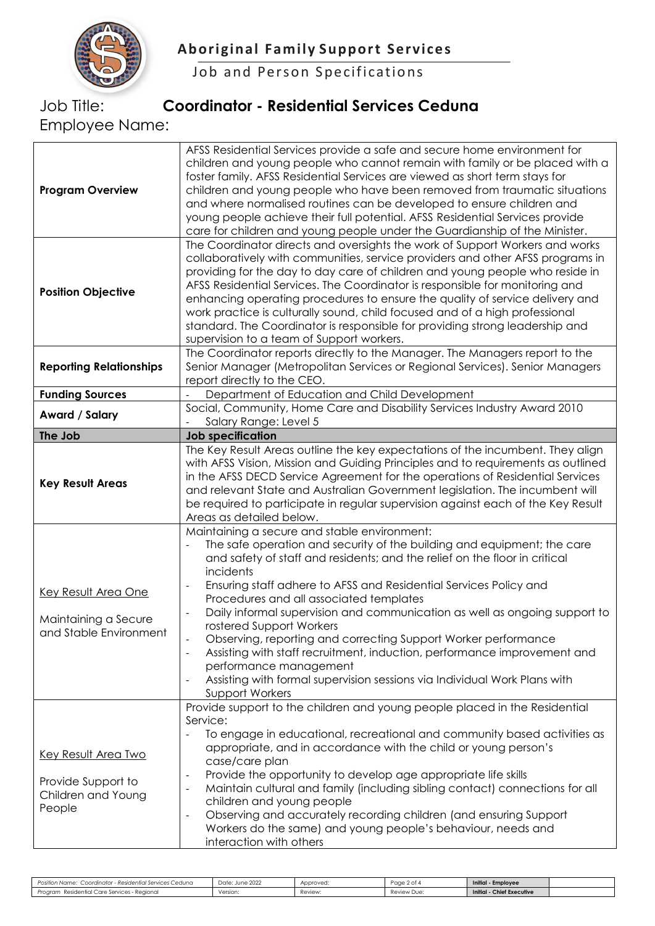

Job and Person Specifications

### Job Title: **Coordinator - Residential Services Ceduna**

Employee Name:

| <b>Program Overview</b>                                                          | AFSS Residential Services provide a safe and secure home environment for<br>children and young people who cannot remain with family or be placed with a<br>foster family. AFSS Residential Services are viewed as short term stays for<br>children and young people who have been removed from traumatic situations<br>and where normalised routines can be developed to ensure children and<br>young people achieve their full potential. AFSS Residential Services provide<br>care for children and young people under the Guardianship of the Minister.                                                                                                                                                                             |
|----------------------------------------------------------------------------------|----------------------------------------------------------------------------------------------------------------------------------------------------------------------------------------------------------------------------------------------------------------------------------------------------------------------------------------------------------------------------------------------------------------------------------------------------------------------------------------------------------------------------------------------------------------------------------------------------------------------------------------------------------------------------------------------------------------------------------------|
| <b>Position Objective</b>                                                        | The Coordinator directs and oversights the work of Support Workers and works<br>collaboratively with communities, service providers and other AFSS programs in<br>providing for the day to day care of children and young people who reside in<br>AFSS Residential Services. The Coordinator is responsible for monitoring and<br>enhancing operating procedures to ensure the quality of service delivery and<br>work practice is culturally sound, child focused and of a high professional<br>standard. The Coordinator is responsible for providing strong leadership and<br>supervision to a team of Support workers.                                                                                                             |
| <b>Reporting Relationships</b>                                                   | The Coordinator reports directly to the Manager. The Managers report to the<br>Senior Manager (Metropolitan Services or Regional Services). Senior Managers<br>report directly to the CEO.                                                                                                                                                                                                                                                                                                                                                                                                                                                                                                                                             |
| <b>Funding Sources</b>                                                           | Department of Education and Child Development                                                                                                                                                                                                                                                                                                                                                                                                                                                                                                                                                                                                                                                                                          |
| Award / Salary                                                                   | Social, Community, Home Care and Disability Services Industry Award 2010<br>Salary Range: Level 5                                                                                                                                                                                                                                                                                                                                                                                                                                                                                                                                                                                                                                      |
| The Job                                                                          | <b>Job specification</b>                                                                                                                                                                                                                                                                                                                                                                                                                                                                                                                                                                                                                                                                                                               |
| <b>Key Result Areas</b>                                                          | The Key Result Areas outline the key expectations of the incumbent. They align<br>with AFSS Vision, Mission and Guiding Principles and to requirements as outlined<br>in the AFSS DECD Service Agreement for the operations of Residential Services<br>and relevant State and Australian Government legislation. The incumbent will<br>be required to participate in regular supervision against each of the Key Result<br>Areas as detailed below.                                                                                                                                                                                                                                                                                    |
| Key Result Area One<br>Maintaining a Secure<br>and Stable Environment            | Maintaining a secure and stable environment:<br>The safe operation and security of the building and equipment; the care<br>and safety of staff and residents; and the relief on the floor in critical<br>incidents<br>Ensuring staff adhere to AFSS and Residential Services Policy and<br>$\blacksquare$<br>Procedures and all associated templates<br>Daily informal supervision and communication as well as ongoing support to<br>rostered Support Workers<br>Observing, reporting and correcting Support Worker performance<br>Assisting with staff recruitment, induction, performance improvement and<br>performance management<br>Assisting with formal supervision sessions via Individual Work Plans with<br>Support Workers |
| <b>Key Result Area Two</b><br>Provide Support to<br>Children and Young<br>People | Provide support to the children and young people placed in the Residential<br>Service:<br>To engage in educational, recreational and community based activities as<br>appropriate, and in accordance with the child or young person's<br>case/care plan<br>Provide the opportunity to develop age appropriate life skills<br>$\overline{\phantom{a}}$<br>Maintain cultural and family (including sibling contact) connections for all<br>children and young people<br>Observing and accurately recording children (and ensuring Support<br>$\overline{\phantom{a}}$<br>Workers do the same) and young people's behaviour, needs and<br>interaction with others                                                                         |

| Position Name:<br>r - Residential Services Ceduna<br>Coordinator - | June 2022<br>Date: | Approved. | Page 2 of 4 | Initial - Employee               |  |
|--------------------------------------------------------------------|--------------------|-----------|-------------|----------------------------------|--|
| Residential Care Services - Regional<br>Proaram                    | Version.           | Review:   | Review Due: | <b>Initial - Chief Executive</b> |  |
|                                                                    |                    |           |             |                                  |  |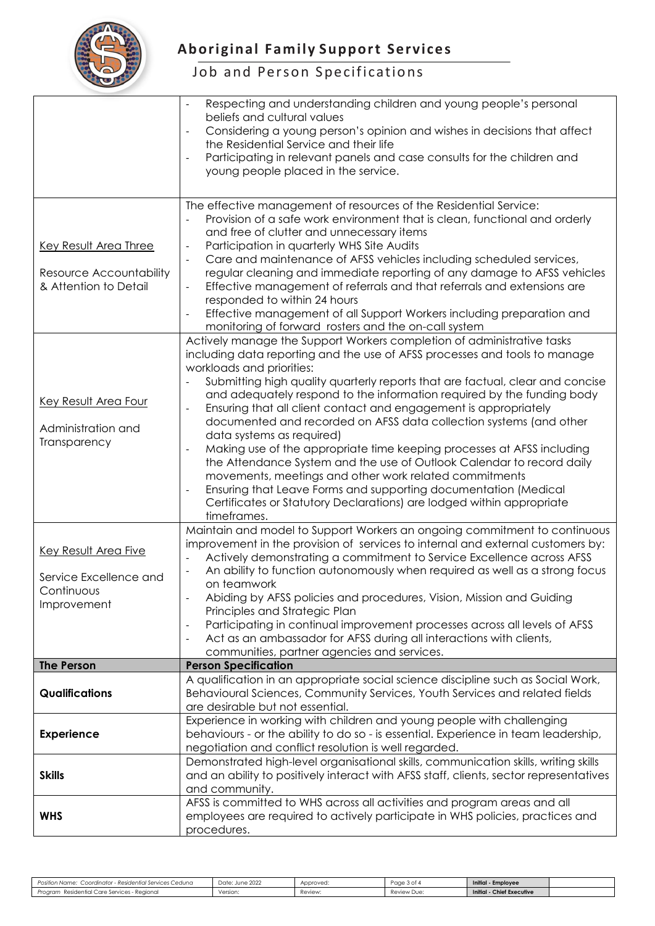

## **Aboriginal Family Support Services**

## Job and Person Specifications

|                                                                                    | Respecting and understanding children and young people's personal<br>beliefs and cultural values<br>Considering a young person's opinion and wishes in decisions that affect<br>$\overline{\phantom{a}}$<br>the Residential Service and their life<br>Participating in relevant panels and case consults for the children and<br>$\overline{\phantom{a}}$<br>young people placed in the service.                                                                                                                                                                                                                                                                                                                                                                                                                                                                                                                    |
|------------------------------------------------------------------------------------|---------------------------------------------------------------------------------------------------------------------------------------------------------------------------------------------------------------------------------------------------------------------------------------------------------------------------------------------------------------------------------------------------------------------------------------------------------------------------------------------------------------------------------------------------------------------------------------------------------------------------------------------------------------------------------------------------------------------------------------------------------------------------------------------------------------------------------------------------------------------------------------------------------------------|
| Key Result Area Three<br>Resource Accountability<br>& Attention to Detail          | The effective management of resources of the Residential Service:<br>Provision of a safe work environment that is clean, functional and orderly<br>and free of clutter and unnecessary items<br>Participation in quarterly WHS Site Audits<br>$\overline{\phantom{a}}$<br>Care and maintenance of AFSS vehicles including scheduled services,<br>regular cleaning and immediate reporting of any damage to AFSS vehicles<br>Effective management of referrals and that referrals and extensions are<br>responded to within 24 hours<br>Effective management of all Support Workers including preparation and<br>monitoring of forward rosters and the on-call system                                                                                                                                                                                                                                                |
| <b>Key Result Area Four</b><br>Administration and<br>Transparency                  | Actively manage the Support Workers completion of administrative tasks<br>including data reporting and the use of AFSS processes and tools to manage<br>workloads and priorities:<br>Submitting high quality quarterly reports that are factual, clear and concise<br>and adequately respond to the information required by the funding body<br>Ensuring that all client contact and engagement is appropriately<br>÷,<br>documented and recorded on AFSS data collection systems (and other<br>data systems as required)<br>Making use of the appropriate time keeping processes at AFSS including<br>$\blacksquare$<br>the Attendance System and the use of Outlook Calendar to record daily<br>movements, meetings and other work related commitments<br>Ensuring that Leave Forms and supporting documentation (Medical<br>Certificates or Statutory Declarations) are lodged within appropriate<br>timeframes. |
| <b>Key Result Area Five</b><br>Service Excellence and<br>Continuous<br>Improvement | Maintain and model to Support Workers an ongoing commitment to continuous<br>improvement in the provision of services to internal and external customers by:<br>Actively demonstrating a commitment to Service Excellence across AFSS<br>An ability to function autonomously when required as well as a strong focus<br>on teamwork<br>Abiding by AFSS policies and procedures, Vision, Mission and Guiding<br>Principles and Strategic Plan<br>Participating in continual improvement processes across all levels of AFSS<br>$\overline{\phantom{a}}$<br>Act as an ambassador for AFSS during all interactions with clients,<br>communities, partner agencies and services.                                                                                                                                                                                                                                        |
| <b>The Person</b>                                                                  | <b>Person Specification</b>                                                                                                                                                                                                                                                                                                                                                                                                                                                                                                                                                                                                                                                                                                                                                                                                                                                                                         |
| <b>Qualifications</b>                                                              | A qualification in an appropriate social science discipline such as Social Work,<br>Behavioural Sciences, Community Services, Youth Services and related fields<br>are desirable but not essential.                                                                                                                                                                                                                                                                                                                                                                                                                                                                                                                                                                                                                                                                                                                 |
| <b>Experience</b>                                                                  | Experience in working with children and young people with challenging<br>behaviours - or the ability to do so - is essential. Experience in team leadership,<br>negotiation and conflict resolution is well regarded.                                                                                                                                                                                                                                                                                                                                                                                                                                                                                                                                                                                                                                                                                               |
| <b>Skills</b>                                                                      | Demonstrated high-level organisational skills, communication skills, writing skills<br>and an ability to positively interact with AFSS staff, clients, sector representatives<br>and community.                                                                                                                                                                                                                                                                                                                                                                                                                                                                                                                                                                                                                                                                                                                     |
| <b>WHS</b>                                                                         | AFSS is committed to WHS across all activities and program areas and all<br>employees are required to actively participate in WHS policies, practices and<br>procedures.                                                                                                                                                                                                                                                                                                                                                                                                                                                                                                                                                                                                                                                                                                                                            |

| זר Residential Services Ceduna<br>Coordinator<br>Position Name:              | Date: June 2022 | Approved: | Page<br>ີ ລະ | Initial<br>- Employee        |  |
|------------------------------------------------------------------------------|-----------------|-----------|--------------|------------------------------|--|
| i - Reaional<br>Care Services<br>Proaram<br>ntiai .<br>$10^{\circ}$<br>Resid | Version.        | Review:   | Review Due:  | Initial<br>- Chief Executive |  |